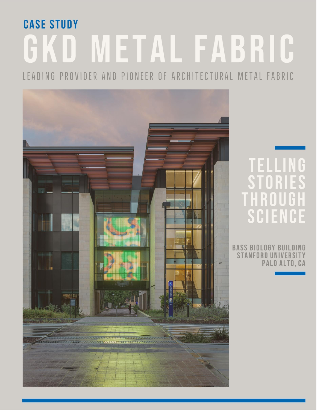# **CASE STUDY** GKD METAL FABRIC

LEADING PROVIDER AND PIONEER OF ARCHITECTURAL METAL FABRIC



## TELLING THROUG SCIENCE

**BASS BIOLOGY BUILDING STANFORD UNIVERSITY** PALO ALTO, CA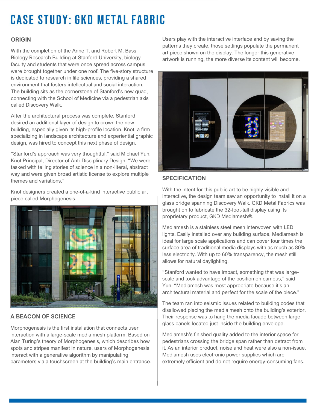## **CASE STUDY: GKD METAL FABRIC**

#### **ORIGIN**

With the completion of the Anne T. and Robert M. Bass Biology Research Building at Stanford University, biology faculty and students that were once spread across campus were brought together under one roof. The five-story structure is dedicated to research in life sciences, providing a shared environment that fosters intellectual and social interaction. The building sits as the cornerstone of Stanford's new quad, connecting with the School of Medicine via a pedestrian axis called Discovery Walk.

After the architectural process was complete, Stanford desired an additional layer of design to crown the new building, especially given its high-profile location. Knot, a firm specializing in landscape architecture and experiential graphic design, was hired to concept this next phase of design.

"Stanford's approach was very thoughtful," said Michael Yun, Knot Principal, Director of Anti-Disciplinary Design. "We were tasked with telling stories of science in a non-literal, abstract way and were given broad artistic license to explore multiple themes and variations."

Knot designers created a one-of-a-kind interactive public art piece called Morphogenesis.



#### **A BEACON OF SCIENCE**

Morphogenesis is the first installation that connects user interaction with a large-scale media mesh platform. Based on Alan Turing's theory of Morphogenesis, which describes how spots and stripes manifest in nature, users of Morphogenesis interact with a generative algorithm by manipulating parameters via a touchscreen at the building's main entrance.

Users play with the interactive interface and by saving the patterns they create, those settings populate the permanent art piece shown on the display. The longer this generative artwork is running, the more diverse its content will become.



#### **SPECIFICATION**

With the intent for this public art to be highly visible and interactive, the design team saw an opportunity to install it on a glass bridge spanning Discovery Walk. GKD Metal Fabrics was brought on to fabricate the 32-foot-tall display using its proprietary product, GKD Mediamesh®.

Mediamesh is a stainless steel mesh interwoven with LED lights. Easily installed over any building surface, Mediamesh is ideal for large scale applications and can cover four times the surface area of traditional media displays with as much as 80% less electricity. With up to 60% transparency, the mesh still allows for natural daylighting.

"Stanford wanted to have impact, something that was largescale and took advantage of the position on campus," said Yun. "Mediamesh was most appropriate because it's an architectural material and perfect for the scale of the piece."

The team ran into seismic issues related to building codes that disallowed placing the media mesh onto the building's exterior. Their response was to hang the media facade between large glass panels located just inside the building envelope.

Mediamesh's finished quality added to the interior space for pedestrians crossing the bridge span rather than detract from it. As an interior product, noise and heat were also a non-issue. Mediamesh uses electronic power supplies which are extremely efficient and do not require energy-consuming fans.